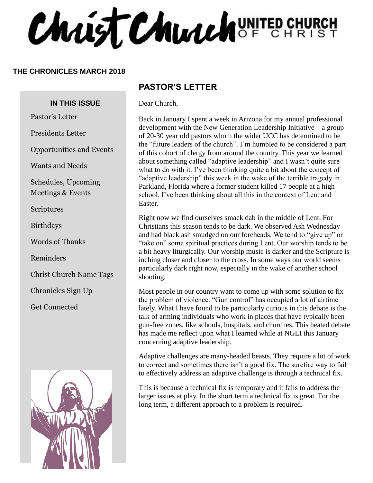Christ Church UNITED CHURCH

#### **THE CHRONICLES MARCH 2018**

#### **IN THIS ISSUE**

Pastor's Letter

Presidents Letter

Opportunities and Events

Wants and Needs

Schedules, Upcoming Meetings & Events

Scriptures

Birthdays

Words of Thanks

Reminders

Christ Church Name Tags

Chronicles Sign Up

Get Connected



#### **PASTOR'S LETTER**

Dear Church,

Back in January I spent a week in Arizona for my annual professional development with the New Generation Leadership Initiative – a group of 20-30 year old pastors whom the wider UCC has determined to be the "future leaders of the church". I'm humbled to be considered a part of this cohort of clergy from around the country. This year we learned about something called "adaptive leadership" and I wasn't quite sure what to do with it. I've been thinking quite a bit about the concept of "adaptive leadership" this week in the wake of the terrible tragedy in Parkland, Florida where a former student killed 17 people at a high school. I've been thinking about all this in the context of Lent and Easter.

Right now we find ourselves smack dab in the middle of Lent. For Christians this season tends to be dark. We observed Ash Wednesday and had black ash smudged on our foreheads. We tend to "give up" or "take on" some spiritual practices during Lent. Our worship tends to be a bit heavy liturgically. Our worship music is darker and the Scripture is inching closer and closer to the cross. In some ways our world seems particularly dark right now, especially in the wake of another school shooting.

Most people in our country want to come up with some solution to fix the problem of violence. "Gun control" has occupied a lot of airtime lately. What I have found to be particularly curious in this debate is the talk of arming individuals who work in places that have typically been gun-free zones, like schools, hospitals, and churches. This heated debate has made me reflect upon what I learned while at NGLI this January concerning adaptive leadership.

Adaptive challenges are many-headed beasts. They require a lot of work to correct and sometimes there isn't a good fix. The surefire way to fail to effectively address an adaptive challenge is through a technical fix.

This is because a technical fix is temporary and it fails to address the larger issues at play. In the short term a technical fix is great. For the long term, a different approach to a problem is required.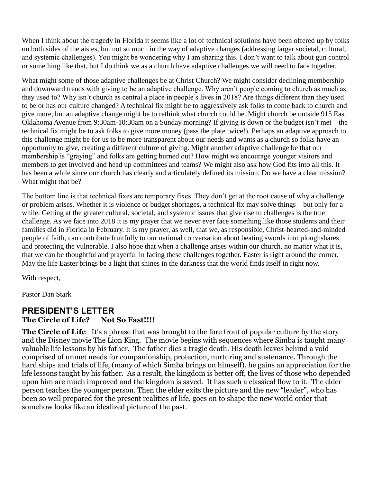When I think about the tragedy in Florida it seems like a lot of technical solutions have been offered up by folks on both sides of the aisles, but not so much in the way of adaptive changes (addressing larger societal, cultural, and systemic challenges). You might be wondering why I am sharing this. I don't want to talk about gun control or something like that, but I do think we as a church have adaptive challenges we will need to face together.

What might some of those adaptive challenges be at Christ Church? We might consider declining membership and downward trends with giving to be an adaptive challenge. Why aren't people coming to church as much as they used to? Why isn't church as central a place in people's lives in 2018? Are things different than they used to be or has our culture changed? A technical fix might be to aggressively ask folks to come back to church and give more, but an adaptive change might be to rethink what church could be. Might church be outside 915 East Oklahoma Avenue from 9:30am-10:30am on a Sunday morning? If giving is down or the budget isn't met – the technical fix might be to ask folks to give more money (pass the plate twice!). Perhaps an adaptive approach to this challenge might be for us to be more transparent about our needs and wants as a church so folks have an opportunity to give, creating a different culture of giving. Might another adaptive challenge be that our membership is "graying" and folks are getting burned out? How might we encourage younger visitors and members to get involved and head up committees and teams? We might also ask how God fits into all this. It has been a while since our church has clearly and articulately defined its mission. Do we have a clear mission? What might that be?

The bottom line is that technical fixes are temporary fixes. They don't get at the root cause of why a challenge or problem arises. Whether it is violence or budget shortages, a technical fix may solve things – but only for a while. Getting at the greater cultural, societal, and systemic issues that give rise to challenges is the true challenge. As we face into 2018 it is my prayer that we never ever face something like those students and their families did in Florida in February. It is my prayer, as well, that we, as responsible, Christ-hearted-and-minded people of faith, can contribute fruitfully to our national conversation about beating swords into ploughshares and protecting the vulnerable. I also hope that when a challenge arises within our church, no matter what it is, that we can be thoughtful and prayerful in facing these challenges together. Easter is right around the corner. May the life Easter brings be a light that shines in the darkness that the world finds itself in right now.

With respect,

Pastor Dan Stark

#### **PRESIDENT'S LETTER** The Circle of Life? Not So Fast!!!!

**The Circle of Life** It's a phrase that was brought to the fore front of popular culture by the story and the Disney movie The Lion King. The movie begins with sequences where Simba is taught many valuable life lessons by his father. The father dies a tragic death. His death leaves behind a void comprised of unmet needs for companionship, protection, nurturing and sustenance. Through the hard ships and trials of life, (many of which Simba brings on himself), he gains an appreciation for the life lessons taught by his father. As a result, the kingdom is better off, the lives of those who depended upon him are much improved and the kingdom is saved. It has such a classical flow to it. The elder person teaches the younger person. Then the elder exits the picture and the new "leader", who has been so well prepared for the present realities of life, goes on to shape the new world order that somehow looks like an idealized picture of the past.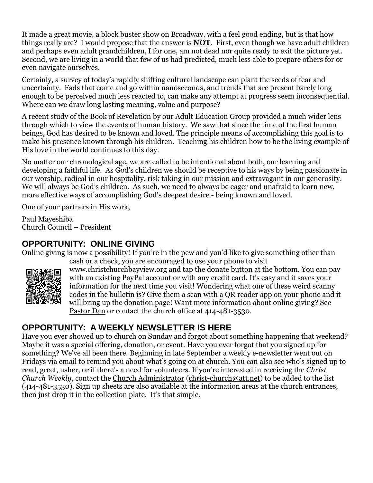It made a great movie, a block buster show on Broadway, with a feel good ending, but is that how things really are? I would propose that the answer is **NOT**. First, even though we have adult children and perhaps even adult grandchildren, I for one, am not dead nor quite ready to exit the picture yet. Second, we are living in a world that few of us had predicted, much less able to prepare others for or even navigate ourselves.

Certainly, a survey of today's rapidly shifting cultural landscape can plant the seeds of fear and uncertainty. Fads that come and go within nanoseconds, and trends that are present barely long enough to be perceived much less reacted to, can make any attempt at progress seem inconsequential. Where can we draw long lasting meaning, value and purpose?

A recent study of the Book of Revelation by our Adult Education Group provided a much wider lens through which to view the events of human history. We saw that since the time of the first human beings, God has desired to be known and loved. The principle means of accomplishing this goal is to make his presence known through his children. Teaching his children how to be the living example of His love in the world continues to this day.

No matter our chronological age, we are called to be intentional about both, our learning and developing a faithful life. As God's children we should be receptive to his ways by being passionate in our worship, radical in our hospitality, risk taking in our mission and extravagant in our generosity. We will always be God's children. As such, we need to always be eager and unafraid to learn new, more effective ways of accomplishing God's deepest desire - being known and loved.

One of your partners in His work,

Paul Mayeshiba Church Council – President

#### **OPPORTUNITY: ONLINE GIVING**

Online giving is now a possibility! If you're in the pew and you'd like to give something other than cash or a check, you are encouraged to use your phone to visit



[www.christchurchbayview.org](http://www.christchurchbayview.org/) and tap the [donate](https://www.paypal.com/cgi-bin/webscr?cmd=_s-xclick&hosted_button_id=D7W2VTZZBHZNU) button at the bottom. You can pay with an existing PayPal account or with any credit card. It's easy and it saves your information for the next time you visit! Wondering what one of these weird scanny codes in the bulletin is? Give them a scan with a QR reader app on your phone and it will bring up the donation page! Want more information about online giving? See [Pastor](mailto:dan_stark@att.net) Dan or contact the church office at 414-481-3530.

#### **OPPORTUNITY: A WEEKLY NEWSLETTER IS HERE**

Have you ever showed up to church on Sunday and forgot about something happening that weekend? Maybe it was a special offering, donation, or event. Have you ever forgot that you signed up for something? We've all been there. Beginning in late September a weekly e-newsletter went out on Fridays via email to remind you about what's going on at church. You can also see who's signed up to read, greet, usher, or if there's a need for volunteers. If you're interested in receiving the *Christ Church Weekly*, contact the [Church Administrator](mailto:christ-church@att.net) [\(christ-church@att.net\)](mailto:christ-church@att.net) to be added to the list (414-481-3530). Sign up sheets are also available at the information areas at the church entrances, then just drop it in the collection plate. It's that simple.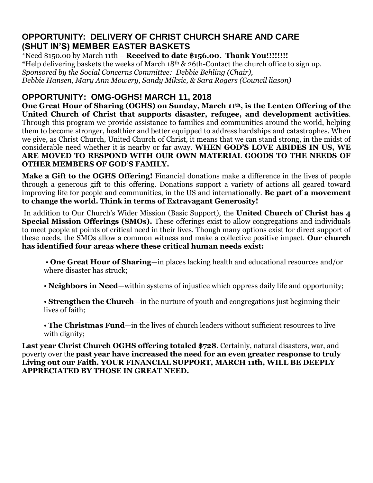#### **OPPORTUNITY: DELIVERY OF CHRIST CHURCH SHARE AND CARE (SHUT IN'S) MEMBER EASTER BASKETS**

\*Need \$150.00 by March 11th – **Received to date \$156.00. Thank You!!!!!!!!** \*Help delivering baskets the weeks of March 18th & 26th-Contact the church office to sign up. *Sponsored by the Social Concerns Committee: Debbie Behling (Chair), Debbie Hansen, Mary Ann Mowery, Sandy Miksic, & Sara Rogers (Council liason)*

#### **OPPORTUNITY: OMG-OGHS! MARCH 11, 2018**

**One Great Hour of Sharing (OGHS) on Sunday, March 11th, is the Lenten Offering of the United Church of Christ that supports disaster, refugee, and development activities**. Through this program we provide assistance to families and communities around the world, helping them to become stronger, healthier and better equipped to address hardships and catastrophes. When we give, as Christ Church, United Church of Christ, it means that we can stand strong, in the midst of considerable need whether it is nearby or far away. **WHEN GOD'S LOVE ABIDES IN US, WE ARE MOVED TO RESPOND WITH OUR OWN MATERIAL GOODS TO THE NEEDS OF OTHER MEMBERS OF GOD'S FAMILY.**

**Make a Gift to the OGHS Offering!** Financial donations make a difference in the lives of people through a generous gift to this offering. Donations support a variety of actions all geared toward improving life for people and communities, in the US and internationally. **Be part of a movement to change the world. Think in terms of Extravagant Generosity!**

In addition to Our Church's Wider Mission (Basic Support), the **United Church of Christ has 4 Special Mission Offerings (SMOs).** These offerings exist to allow congregations and individuals to meet people at points of critical need in their lives. Though many options exist for direct support of these needs, the SMOs allow a common witness and make a collective positive impact. **Our church has identified four areas where these critical human needs exist:**

• **One Great Hour of Sharing**—in places lacking health and educational resources and/or where disaster has struck;

• **Neighbors in Need**—within systems of injustice which oppress daily life and opportunity;

- **Strengthen the Church**—in the nurture of youth and congregations just beginning their lives of faith;
- **The Christmas Fund**—in the lives of church leaders without sufficient resources to live with dignity;

**Last year Christ Church OGHS offering totaled \$728**. Certainly, natural disasters, war, and poverty over the **past year have increased the need for an even greater response to truly Living out our Faith. YOUR FINANCIAL SUPPORT, MARCH 11th, WILL BE DEEPLY APPRECIATED BY THOSE IN GREAT NEED.**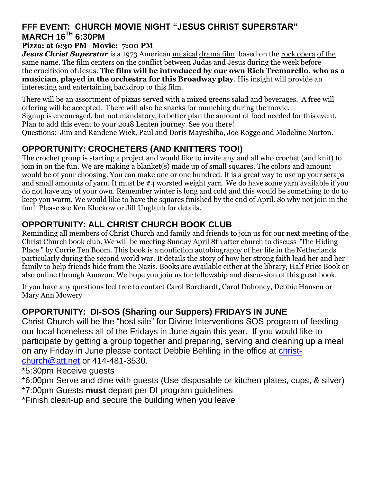## **FFF EVENT: CHURCH MOVIE NIGHT "JESUS CHRIST SUPERSTAR" MARCH 16TH 6:30PM**

#### **Pizza: at 6:30 PM Movie: 7:00 PM**

*Jesus Christ Superstar* is a 1973 American [musical](https://en.wikipedia.org/wiki/Musical_film) [drama film](https://en.wikipedia.org/wiki/Drama_film) based on the [rock opera](https://en.wikipedia.org/wiki/Rock_opera) of the [same name.](https://en.wikipedia.org/wiki/Jesus_Christ_Superstar) The film centers on the conflict between [Judas](https://en.wikipedia.org/wiki/Judas_Iscariot) and [Jesus](https://en.wikipedia.org/wiki/Jesus) during the week before the [crucifixion of Jesus.](https://en.wikipedia.org/wiki/Crucifixion_of_Jesus) **The film will be introduced by our own Rich Tremarello, who as a musician, played in the orchestra for this Broadway play**. His insight will provide an interesting and entertaining backdrop to this film.

There will be an assortment of pizzas served with a mixed greens salad and beverages. A free will offering will be accepted. There will also be snacks for munching during the movie. Signup is encouraged, but not mandatory, to better plan the amount of food needed for this event. Plan to add this event to your 2018 Lenten journey. See you there! Questions: Jim and Randene Wick, Paul and Doris Mayeshiba, Joe Rogge and Madeline Norton.

## **OPPORTUNITY: CROCHETERS (AND KNITTERS TOO!)**

The crochet group is starting a project and would like to invite any and all who crochet (and knit) to join in on the fun. We are making a blanket(s) made up of small squares. The colors and amount would be of your choosing. You can make one or one hundred. It is a great way to use up your scraps and small amounts of yarn. It must be #4 worsted weight yarn. We do have some yarn available if you do not have any of your own. Remember winter is long and cold and this would be something to do to keep you warm. We would like to have the squares finished by the end of April. So why not join in the fun! Please see Ken Klockow or Jill Unglaub for details.

#### **OPPORTUNITY: ALL CHRIST CHURCH BOOK CLUB**

Reminding all members of Christ Church and family and friends to join us for our next meeting of the Christ Church book club. We will be meeting Sunday April 8th after church to discuss "The Hiding Place " by Corrie Ten Boom. This book is a nonfiction autobiography of her life in the Netherlands particularly during the second world war. It details the story of how her strong faith lead her and her family to help friends hide from the Nazis. Books are available either at the library, Half Price Book or also online through Amazon. We hope you join us for fellowship and discussion of this great book.

If you have any questions feel free to contact Carol Borchardt, Carol Dohoney, Debbie Hansen or Mary Ann Mowery

#### **OPPORTUNITY: DI-SOS (Sharing our Suppers) FRIDAYS IN JUNE**

Christ Church will be the "host site" for Divine Interventions SOS program of feeding our local homeless all of the Fridays in June again this year. If you would like to participate by getting a group together and preparing, serving and cleaning up a meal on any Friday in June please contact Debbie Behling in the office at [christ](mailto:christ-church@att.net)[church@att.net](mailto:christ-church@att.net) or 414-481-3530.

\*5:30pm Receive guests

\*6:00pm Serve and dine with guests (Use disposable or kitchen plates, cups, & silver) \*7:00pm Guests **must** depart per DI program guidelines

\*Finish clean-up and secure the building when you leave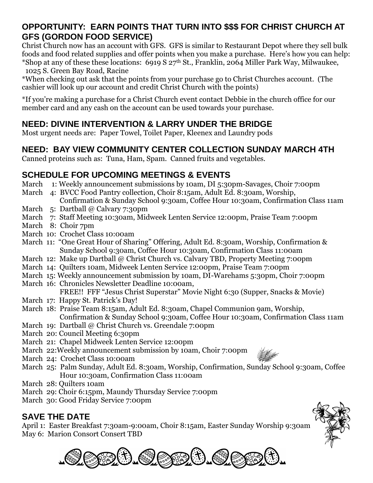#### **OPPORTUNITY: EARN POINTS THAT TURN INTO \$\$\$ FOR CHRIST CHURCH AT GFS (GORDON FOOD SERVICE)**

Christ Church now has an account with GFS. GFS is similar to Restaurant Depot where they sell bulk foods and food related supplies and offer points when you make a purchase. Here's how you can help: \*Shop at any of these these locations: 6919 S  $27<sup>th</sup>$  St., Franklin, 2064 Miller Park Way, Milwaukee, 1025 S. Green Bay Road, Racine

\*When checking out ask that the points from your purchase go to Christ Churches account. (The cashier will look up our account and credit Christ Church with the points)

\*If you're making a purchase for a Christ Church event contact Debbie in the church office for our member card and any cash on the account can be used towards your purchase.

## **NEED: DIVINE INTERVENTION & LARRY UNDER THE BRIDGE**

Most urgent needs are: Paper Towel, Toilet Paper, Kleenex and Laundry pods

## **NEED: BAY VIEW COMMUNITY CENTER COLLECTION SUNDAY MARCH 4TH**

Canned proteins such as: Tuna, Ham, Spam. Canned fruits and vegetables.

#### **SCHEDULE FOR UPCOMING MEETINGS & EVENTS**

- March 1: Weekly announcement submissions by 10am, DI 5:30pm-Savages, Choir 7:00pm
- March 4: BVCC Food Pantry collection, Choir 8:15am, Adult Ed. 8:30am, Worship,
- Confirmation & Sunday School 9:30am, Coffee Hour 10:30am, Confirmation Class 11am March 5: Dartball @ Calvary 7:30pm
- March 7: Staff Meeting 10:30am, Midweek Lenten Service 12:00pm, Praise Team 7:00pm
- March 8: Choir 7pm
- March 10: Crochet Class 10:00am
- March 11: "One Great Hour of Sharing" Offering, Adult Ed. 8:30am, Worship, Confirmation & Sunday School 9:30am, Coffee Hour 10:30am, Confirmation Class 11:00am
- March 12: Make up Dartball @ Christ Church vs. Calvary TBD, Property Meeting 7:00pm
- March 14: Quilters 10am, Midweek Lenten Service 12:00pm, Praise Team 7:00pm
- March 15: Weekly announcement submission by 10am, DI-Warehams 5:30pm, Choir 7:00pm
- March 16: Chronicles Newsletter Deadline 10:00am, FREE!! FFF "Jesus Christ Superstar" Movie Night 6:30 (Supper, Snacks & Movie)
- March 17: Happy St. Patrick's Day!
- March 18: Praise Team 8:15am, Adult Ed. 8:30am, Chapel Communion 9am, Worship, Confirmation & Sunday School 9:30am, Coffee Hour 10:30am, Confirmation Class 11am
- March 19: Dartball @ Christ Church vs. Greendale 7:00pm
- March 20: Council Meeting 6:30pm
- March 21: Chapel Midweek Lenten Service 12:00pm
- March 22:Weekly announcement submission by 10am, Choir 7:00pm
- March 24: Crochet Class 10:00am
- March 25: Palm Sunday, Adult Ed. 8:30am, Worship, Confirmation, Sunday School 9:30am, Coffee Hour 10:30am, Confirmation Class 11:00am
- March 28: Quilters 10am
- March 29: Choir 6:15pm, Maundy Thursday Service 7:00pm
- March 30: Good Friday Service 7:00pm

## **SAVE THE DATE**

April 1: Easter Breakfast 7:30am-9:00am, Choir 8:15am, Easter Sunday Worship 9:30am May 6: Marion Consort Consert TBD





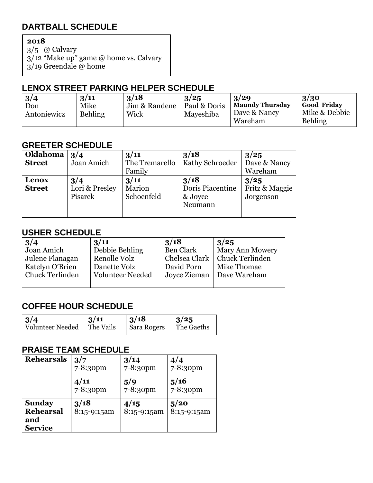## **DARTBALL SCHEDULE**

**2018**

3/5 @ Calvary 3/12 "Make up" game @ home vs. Calvary  $3/19$  Greendale @ home

#### **LENOX STREET PARKING HELPER SCHEDULE**

| 3/4         | 3/11           | 3/18          | 3/25         | 3/29                    | 3/30                            |
|-------------|----------------|---------------|--------------|-------------------------|---------------------------------|
| Don         | Mike           | Jim & Randene | Paul & Doris | <b>Maundy Thursday</b>  | <b>Good Friday</b>              |
| Antoniewicz | <b>Behling</b> | Wick          | Mayeshiba    | Dave & Nancy<br>Wareham | Mike & Debbie<br><b>Behling</b> |

#### **GREETER SCHEDULE**

| Oklahoma<br><b>Street</b> | 3/4<br>Joan Amich                | 3/11<br>The Tremarello<br>Family | 3/18<br>  Kathy Schroeder                      | 3/25<br>Dave & Nancy<br>Wareham     |
|---------------------------|----------------------------------|----------------------------------|------------------------------------------------|-------------------------------------|
| Lenox<br><b>Street</b>    | 3/4<br>Lori & Presley<br>Pisarek | 3/11<br>Marion<br>Schoenfeld     | 3/18<br>Doris Piacentine<br>& Joyce<br>Neumann | 3/25<br>Fritz & Maggie<br>Jorgenson |

#### **USHER SCHEDULE**

| 3/4                    | 3/11                    | 3/18             | 3/25                        |
|------------------------|-------------------------|------------------|-----------------------------|
| Joan Amich             | Debbie Behling          | <b>Ben Clark</b> | <b>Mary Ann Mowery</b>      |
| Julene Flanagan        | Renolle Volz            | Chelsea Clark    | Chuck Terlinden             |
| Katelyn O'Brien        | Danette Volz            | David Porn       | Mike Thomae                 |
| <b>Chuck Terlinden</b> | <b>Volunteer Needed</b> |                  | Joyce Zieman   Dave Wareham |
|                        |                         |                  |                             |

## **COFFEE HOUR SCHEDULE**

| $\vert 3/4$             | $\vert 3/11$ | 3/18        | $\frac{3}{25}$ |
|-------------------------|--------------|-------------|----------------|
| <b>Volunteer Needed</b> | The Vails    | Sara Rogers | The Gaeths     |
|                         |              |             |                |

#### **PRAISE TEAM SCHEDULE**

| <b>Rehearsals</b>                                          | 3/7                 | 3/14                 | 4/4                 |
|------------------------------------------------------------|---------------------|----------------------|---------------------|
|                                                            | $7 - 8:30$ pm       | $7 - 8:30$ pm        | 7-8:30pm            |
|                                                            | 4/11<br>7-8:30pm    | 5/9<br>$7 - 8:30$ pm | 5/16<br>7-8:30pm    |
| <b>Sunday</b><br><b>Rehearsal</b><br>and<br><b>Service</b> | 3/18<br>8:15-9:15am | 4/15<br>8:15-9:15am  | 5/20<br>8:15-9:15am |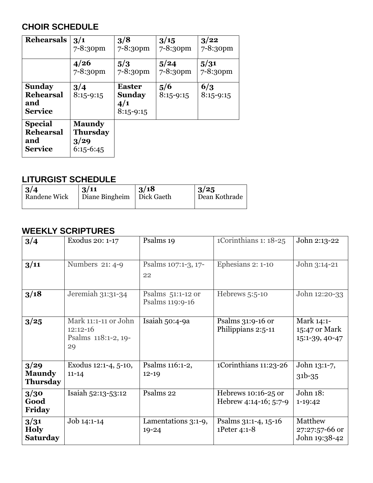## **CHOIR SCHEDULE**

| <b>Rehearsals</b>                                           | 3/1                                              | 3/8                                                  | 3/15                 | 3/22               |
|-------------------------------------------------------------|--------------------------------------------------|------------------------------------------------------|----------------------|--------------------|
|                                                             | 7-8:30pm                                         | 7-8:30pm                                             | 7-8:30pm             | 7-8:30pm           |
|                                                             | 4/26                                             | 5/3                                                  | 5/24                 | 5/31               |
|                                                             | 7-8:30pm                                         | 7-8:30pm                                             | 7-8:30pm             | 7-8:30pm           |
| <b>Sunday</b><br><b>Rehearsal</b><br>and<br><b>Service</b>  | 3/4<br>$8:15-9:15$                               | <b>Easter</b><br><b>Sunday</b><br>4/1<br>$8:15-9:15$ | 5/6<br>$8:15 - 9:15$ | 6/3<br>$8:15-9:15$ |
| <b>Special</b><br><b>Rehearsal</b><br>and<br><b>Service</b> | <b>Maundy</b><br>Thursday<br>3/29<br>$6:15-6:45$ |                                                      |                      |                    |

#### **LITURGIST SCHEDULE**

| $\frac{3}{4}$ | 3/11                        | 3/18 | 3/25          |
|---------------|-----------------------------|------|---------------|
| Randene Wick  | Diane Bingheim   Dick Gaeth |      | Dean Kothrade |

## **WEEKLY SCRIPTURES**

| 3/4                                      | Exodus 20: 1-17                                                 | Psalms 19                            | 1Corinthians 1: 18-25                          | John 2:13-22                                  |
|------------------------------------------|-----------------------------------------------------------------|--------------------------------------|------------------------------------------------|-----------------------------------------------|
| 3/11                                     | Numbers 21: 4-9                                                 | Psalms 107:1-3, 17-<br>22            | Ephesians 2: 1-10                              | John 3:14-21                                  |
| 3/18                                     | Jeremiah 31:31-34                                               | Psalms 51:1-12 or<br>Psalms 119:9-16 | Hebrews 5:5-10                                 | John 12:20-33                                 |
| 3/25                                     | Mark 11:1-11 or John<br>$12:12-16$<br>Psalms 118:1-2, 19-<br>29 | Isaiah 50:4-9a                       | Psalms $31:9-16$ or<br>Philippians 2:5-11      | Mark 14:1-<br>15:47 or Mark<br>15:1-39, 40-47 |
| 3/29<br><b>Maundy</b><br><b>Thursday</b> | Exodus 12:1-4, 5-10,<br>$11 - 14$                               | Psalms 116:1-2,<br>$12 - 19$         | 1Corinthians 11:23-26                          | John 13:1-7,<br>$31b - 35$                    |
| 3/30<br>Good<br>Friday                   | Isaiah 52:13-53:12                                              | Psalms 22                            | Hebrews $10:16-25$ or<br>Hebrew 4:14-16; 5:7-9 | John 18:<br>1-19:42                           |
| 3/31<br><b>Holy</b><br><b>Saturday</b>   | Job 14:1-14                                                     | Lamentations 3:1-9,<br>$19 - 24$     | Psalms 31:1-4, 15-16<br>1Peter 4:1-8           | Matthew<br>27:27:57-66 or<br>John 19:38-42    |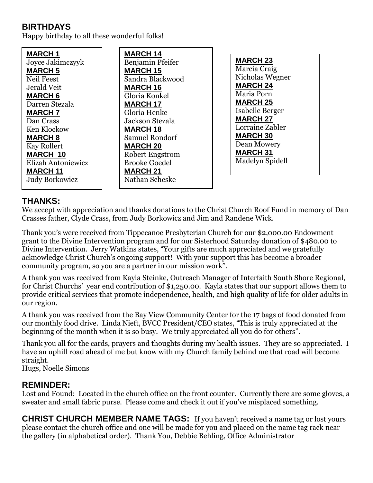## **BIRTHDAYS**

Happy birthday to all these wonderful folks!

**MARCH 1** Joyce Jakimczyyk **MARCH 5** Neil Feest Jerald Veit **MARCH 6** Darren Stezala **MARCH 7** Dan Crass Ken Klockow **MARCH 8** Kay Rollert **MARCH 10** Elizah Antoniewicz **MARCH 11** Judy Borkowicz

**MARCH 14** Benjamin Pfeifer **MARCH 15** Sandra Blackwood **MARCH 16** Gloria Konkel **MARCH 17** Gloria Henke Jackson Stezala **MARCH 18** Samuel Rondorf **MARCH 20** Robert Engstrom Brooke Goedel **MARCH 21** Nathan Scheske

**MARCH 23** Marcia Craig Nicholas Wegner **MARCH 24** Maria Porn **MARCH 25** Isabelle Berger **MARCH 27** Lorraine Zabler **MARCH 30** Dean Mowery **MARCH 31** Madelyn Spidell

#### **THANKS:**

We accept with appreciation and thanks donations to the Christ Church Roof Fund in memory of Dan Crasses father, Clyde Crass, from Judy Borkowicz and Jim and Randene Wick.

Thank you's were received from Tippecanoe Presbyterian Church for our \$2,000.00 Endowment grant to the Divine Intervention program and for our Sisterhood Saturday donation of \$480.00 to Divine Intervention. Jerry Watkins states, "Your gifts are much appreciated and we gratefully acknowledge Christ Church's ongoing support! With your support this has become a broader community program, so you are a partner in our mission work".

A thank you was received from Kayla Steinke, Outreach Manager of Interfaith South Shore Regional, for Christ Churchs' year end contribution of \$1,250.00. Kayla states that our support allows them to provide critical services that promote independence, health, and high quality of life for older adults in our region.

A thank you was received from the Bay View Community Center for the 17 bags of food donated from our monthly food drive. Linda Nieft, BVCC President/CEO states, "This is truly appreciated at the beginning of the month when it is so busy. We truly appreciated all you do for others".

Thank you all for the cards, prayers and thoughts during my health issues. They are so appreciated. I have an uphill road ahead of me but know with my Church family behind me that road will become straight.

Hugs, Noelle Simons

#### **REMINDER:**

Lost and Found: Located in the church office on the front counter. Currently there are some gloves, a sweater and small fabric purse. Please come and check it out if you've misplaced something.

**CHRIST CHURCH MEMBER NAME TAGS:** If you haven't received a name tag or lost yours please contact the church office and one will be made for you and placed on the name tag rack near the gallery (in alphabetical order). Thank You, Debbie Behling, Office Administrator